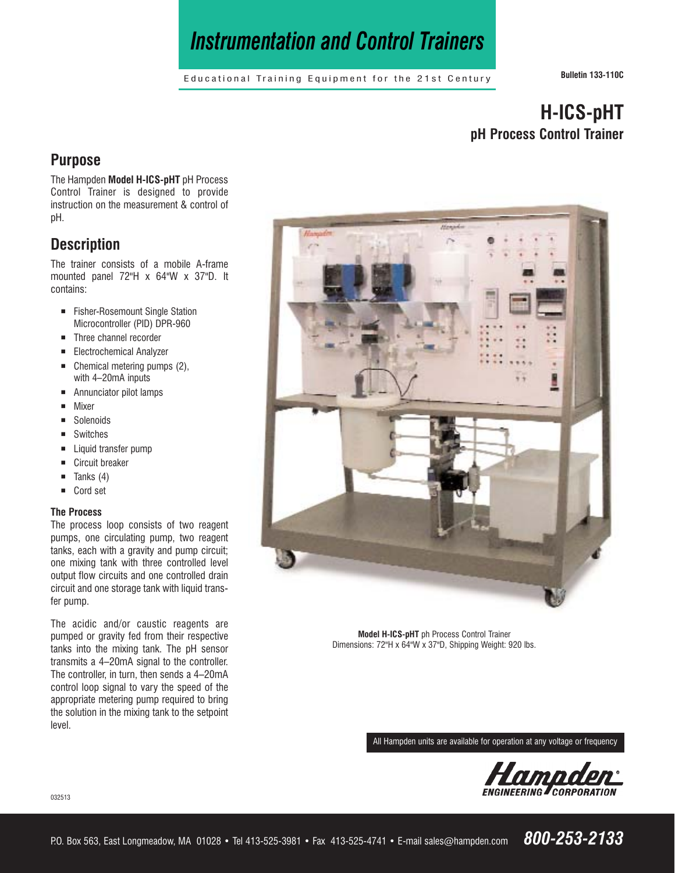# *Instrumentation and Control Trainers*

Educational Training Equipment for the 21st Century **Bulletin 133-110C**

## **H-ICS-pHT pH Process Control Trainer**

## **Purpose**

The Hampden **Model H-ICS-pHT** pH Process Control Trainer is designed to provide instruction on the measurement & control of pH.

## **Description**

The trainer consists of a mobile A-frame mounted panel 72"H x 64"W x 37"D. It contains:

- **Example Fisher-Rosemount Single Station** Microcontroller (PID) DPR-960
- Three channel recorder
- **Electrochemical Analyzer**
- $\blacksquare$  Chemical metering pumps (2), with 4–20mA inputs
- Annunciator pilot lamps
- ¡ Mixer
- Solenoids
- **E** Switches
- Liquid transfer pump
- Circuit breaker
- $\blacksquare$  Tanks (4)
- Cord set

#### **The Process**

The process loop consists of two reagent pumps, one circulating pump, two reagent tanks, each with a gravity and pump circuit; one mixing tank with three controlled level output flow circuits and one controlled drain circuit and one storage tank with liquid transfer pump.

The acidic and/or caustic reagents are pumped or gravity fed from their respective tanks into the mixing tank. The pH sensor transmits a 4–20mA signal to the controller. The controller, in turn, then sends a 4–20mA control loop signal to vary the speed of the appropriate metering pump required to bring the solution in the mixing tank to the setpoint level.



**Model H-ICS-pHT** ph Process Control Trainer Dimensions: 72"H x 64"W x 37"D, Shipping Weight: 920 lbs.

All Hampden units are available for operation at any voltage or frequency